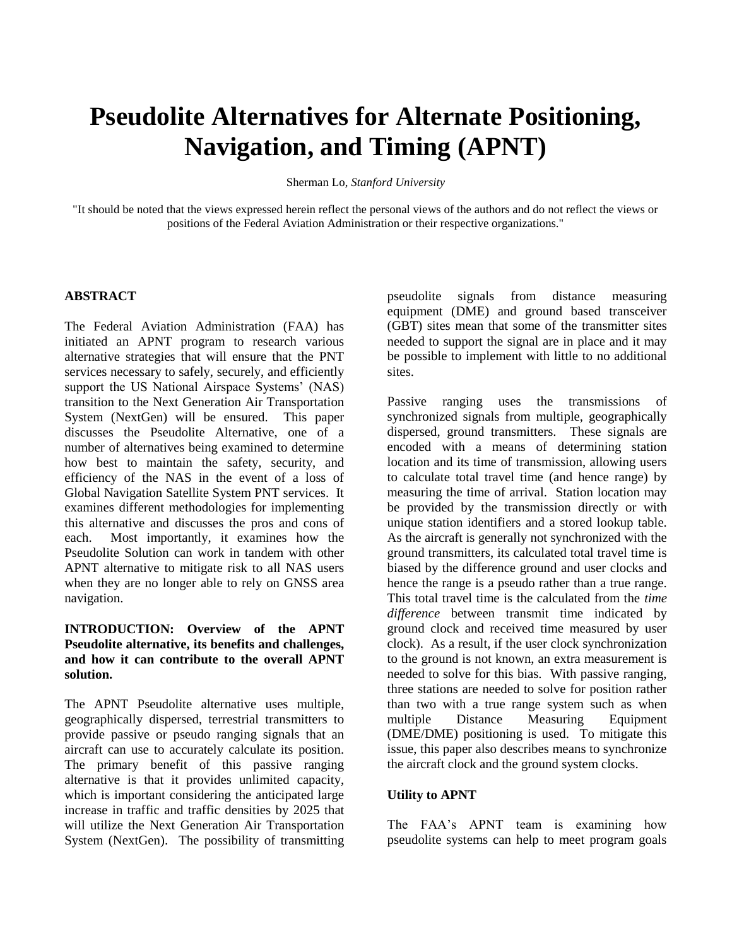# **Pseudolite Alternatives for Alternate Positioning, Navigation, and Timing (APNT)**

Sherman Lo, *Stanford University*

"It should be noted that the views expressed herein reflect the personal views of the authors and do not reflect the views or positions of the Federal Aviation Administration or their respective organizations."

## **ABSTRACT**

The Federal Aviation Administration (FAA) has initiated an APNT program to research various alternative strategies that will ensure that the PNT services necessary to safely, securely, and efficiently support the US National Airspace Systems' (NAS) transition to the Next Generation Air Transportation System (NextGen) will be ensured. This paper discusses the Pseudolite Alternative, one of a number of alternatives being examined to determine how best to maintain the safety, security, and efficiency of the NAS in the event of a loss of Global Navigation Satellite System PNT services. It examines different methodologies for implementing this alternative and discusses the pros and cons of each. Most importantly, it examines how the Pseudolite Solution can work in tandem with other APNT alternative to mitigate risk to all NAS users when they are no longer able to rely on GNSS area navigation.

# **INTRODUCTION: Overview of the APNT Pseudolite alternative, its benefits and challenges, and how it can contribute to the overall APNT solution.**

The APNT Pseudolite alternative uses multiple, geographically dispersed, terrestrial transmitters to provide passive or pseudo ranging signals that an aircraft can use to accurately calculate its position. The primary benefit of this passive ranging alternative is that it provides unlimited capacity, which is important considering the anticipated large increase in traffic and traffic densities by 2025 that will utilize the Next Generation Air Transportation System (NextGen). The possibility of transmitting pseudolite signals from distance measuring equipment (DME) and ground based transceiver (GBT) sites mean that some of the transmitter sites needed to support the signal are in place and it may be possible to implement with little to no additional sites.

Passive ranging uses the transmissions of synchronized signals from multiple, geographically dispersed, ground transmitters. These signals are encoded with a means of determining station location and its time of transmission, allowing users to calculate total travel time (and hence range) by measuring the time of arrival. Station location may be provided by the transmission directly or with unique station identifiers and a stored lookup table. As the aircraft is generally not synchronized with the ground transmitters, its calculated total travel time is biased by the difference ground and user clocks and hence the range is a pseudo rather than a true range. This total travel time is the calculated from the *time difference* between transmit time indicated by ground clock and received time measured by user clock). As a result, if the user clock synchronization to the ground is not known, an extra measurement is needed to solve for this bias. With passive ranging, three stations are needed to solve for position rather than two with a true range system such as when multiple Distance Measuring Equipment (DME/DME) positioning is used. To mitigate this issue, this paper also describes means to synchronize the aircraft clock and the ground system clocks.

# **Utility to APNT**

The FAA's APNT team is examining how pseudolite systems can help to meet program goals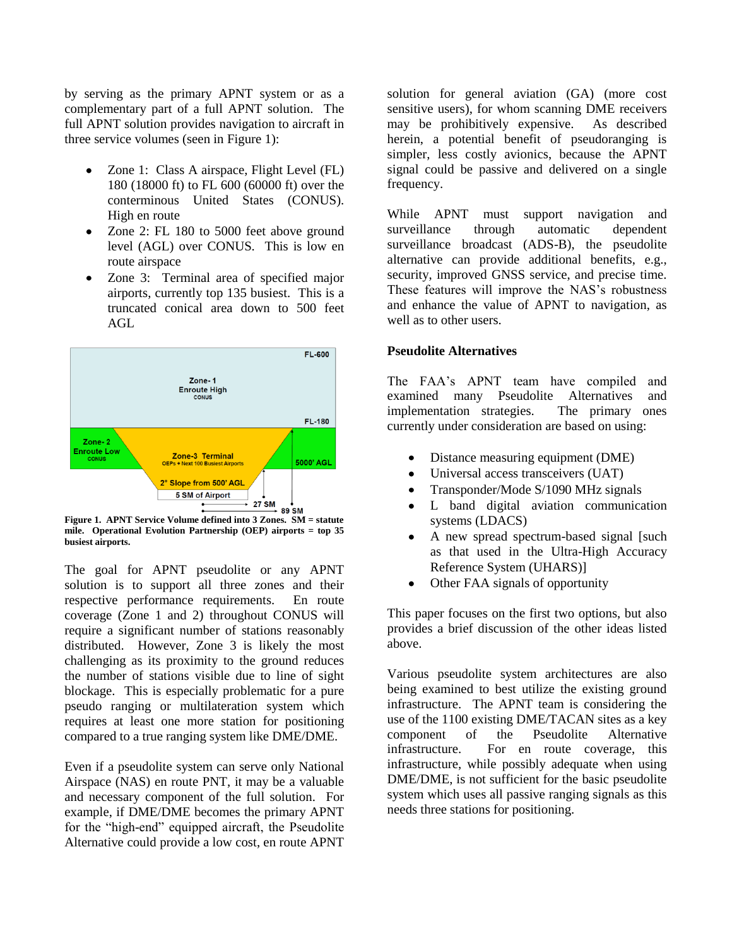by serving as the primary APNT system or as a complementary part of a full APNT solution. The full APNT solution provides navigation to aircraft in three service volumes (seen in [Figure 1\)](#page-1-0):

- Zone 1: Class A airspace, Flight Level (FL) 180 (18000 ft) to FL 600 (60000 ft) over the conterminous United States (CONUS). High en route
- Zone 2: FL 180 to 5000 feet above ground  $\bullet$ level (AGL) over CONUS. This is low en route airspace
- Zone 3: Terminal area of specified major  $\bullet$ airports, currently top 135 busiest. This is a truncated conical area down to 500 feet AGL



<span id="page-1-0"></span>**Figure 1. APNT Service Volume defined into 3 Zones. SM = statute mile. Operational Evolution Partnership (OEP) airports = top 35 busiest airports.**

The goal for APNT pseudolite or any APNT solution is to support all three zones and their respective performance requirements. En route coverage (Zone 1 and 2) throughout CONUS will require a significant number of stations reasonably distributed. However, Zone 3 is likely the most challenging as its proximity to the ground reduces the number of stations visible due to line of sight blockage. This is especially problematic for a pure pseudo ranging or multilateration system which requires at least one more station for positioning compared to a true ranging system like DME/DME.

Even if a pseudolite system can serve only National Airspace (NAS) en route PNT, it may be a valuable and necessary component of the full solution. For example, if DME/DME becomes the primary APNT for the "high-end" equipped aircraft, the Pseudolite Alternative could provide a low cost, en route APNT solution for general aviation (GA) (more cost sensitive users), for whom scanning DME receivers may be prohibitively expensive. As described herein, a potential benefit of pseudoranging is simpler, less costly avionics, because the APNT signal could be passive and delivered on a single frequency.

While APNT must support navigation and surveillance through automatic dependent surveillance broadcast (ADS-B), the pseudolite alternative can provide additional benefits, e.g., security, improved GNSS service, and precise time. These features will improve the NAS's robustness and enhance the value of APNT to navigation, as well as to other users.

## **Pseudolite Alternatives**

The FAA's APNT team have compiled and examined many Pseudolite Alternatives and implementation strategies. The primary ones currently under consideration are based on using:

- Distance measuring equipment (DME)
- $\bullet$ Universal access transceivers (UAT)
- Transponder/Mode S/1090 MHz signals  $\bullet$
- L band digital aviation communication  $\bullet$ systems (LDACS)
- A new spread spectrum-based signal [such  $\bullet$ as that used in the Ultra-High Accuracy Reference System (UHARS)]
- Other FAA signals of opportunity

This paper focuses on the first two options, but also provides a brief discussion of the other ideas listed above.

Various pseudolite system architectures are also being examined to best utilize the existing ground infrastructure. The APNT team is considering the use of the 1100 existing DME/TACAN sites as a key component of the Pseudolite Alternative infrastructure. For en route coverage, this infrastructure, while possibly adequate when using DME/DME, is not sufficient for the basic pseudolite system which uses all passive ranging signals as this needs three stations for positioning.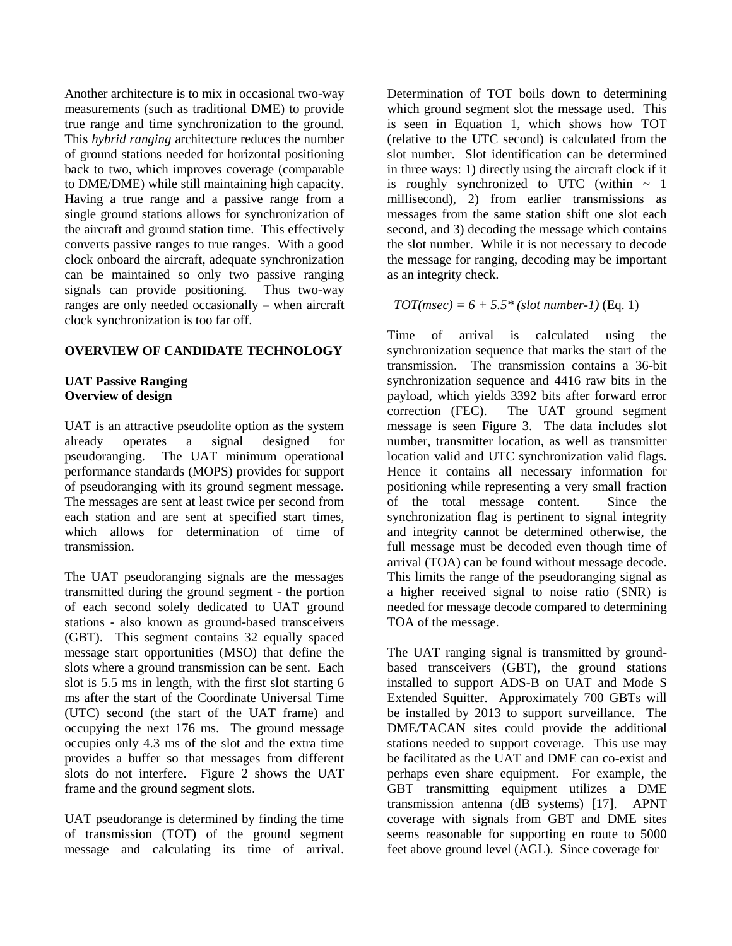Another architecture is to mix in occasional two-way measurements (such as traditional DME) to provide true range and time synchronization to the ground. This *hybrid ranging* architecture reduces the number of ground stations needed for horizontal positioning back to two, which improves coverage (comparable to DME/DME) while still maintaining high capacity. Having a true range and a passive range from a single ground stations allows for synchronization of the aircraft and ground station time. This effectively converts passive ranges to true ranges. With a good clock onboard the aircraft, adequate synchronization can be maintained so only two passive ranging signals can provide positioning. Thus two-way ranges are only needed occasionally – when aircraft clock synchronization is too far off.

# **OVERVIEW OF CANDIDATE TECHNOLOGY**

# **UAT Passive Ranging Overview of design**

UAT is an attractive pseudolite option as the system already operates a signal designed for pseudoranging. The UAT minimum operational performance standards (MOPS) provides for support of pseudoranging with its ground segment message. The messages are sent at least twice per second from each station and are sent at specified start times, which allows for determination of time of transmission.

The UAT pseudoranging signals are the messages transmitted during the ground segment - the portion of each second solely dedicated to UAT ground stations - also known as ground-based transceivers (GBT). This segment contains 32 equally spaced message start opportunities (MSO) that define the slots where a ground transmission can be sent. Each slot is 5.5 ms in length, with the first slot starting 6 ms after the start of the Coordinate Universal Time (UTC) second (the start of the UAT frame) and occupying the next 176 ms. The ground message occupies only 4.3 ms of the slot and the extra time provides a buffer so that messages from different slots do not interfere. [Figure 2](#page-3-0) shows the UAT frame and the ground segment slots.

UAT pseudorange is determined by finding the time of transmission (TOT) of the ground segment message and calculating its time of arrival. Determination of TOT boils down to determining which ground segment slot the message used. This is seen in Equation 1, which shows how TOT (relative to the UTC second) is calculated from the slot number. Slot identification can be determined in three ways: 1) directly using the aircraft clock if it is roughly synchronized to UTC (within  $\sim$  1 millisecond), 2) from earlier transmissions as messages from the same station shift one slot each second, and 3) decoding the message which contains the slot number. While it is not necessary to decode the message for ranging, decoding may be important as an integrity check.

# $TOT(msec) = 6 + 5.5*(slot number-1)$  (Eq. 1)

Time of arrival is calculated using the synchronization sequence that marks the start of the transmission. The transmission contains a 36-bit synchronization sequence and 4416 raw bits in the payload, which yields 3392 bits after forward error correction (FEC). The UAT ground segment message is seen [Figure 3.](#page-3-1) The data includes slot number, transmitter location, as well as transmitter location valid and UTC synchronization valid flags. Hence it contains all necessary information for positioning while representing a very small fraction of the total message content. Since the synchronization flag is pertinent to signal integrity and integrity cannot be determined otherwise, the full message must be decoded even though time of arrival (TOA) can be found without message decode. This limits the range of the pseudoranging signal as a higher received signal to noise ratio (SNR) is needed for message decode compared to determining TOA of the message.

The UAT ranging signal is transmitted by groundbased transceivers (GBT), the ground stations installed to support ADS-B on UAT and Mode S Extended Squitter. Approximately 700 GBTs will be installed by 2013 to support surveillance. The DME/TACAN sites could provide the additional stations needed to support coverage. This use may be facilitated as the UAT and DME can co-exist and perhaps even share equipment. For example, the GBT transmitting equipment utilizes a DME transmission antenna (dB systems) [\[17\].](#page-14-0) APNT coverage with signals from GBT and DME sites seems reasonable for supporting en route to 5000 feet above ground level (AGL). Since coverage for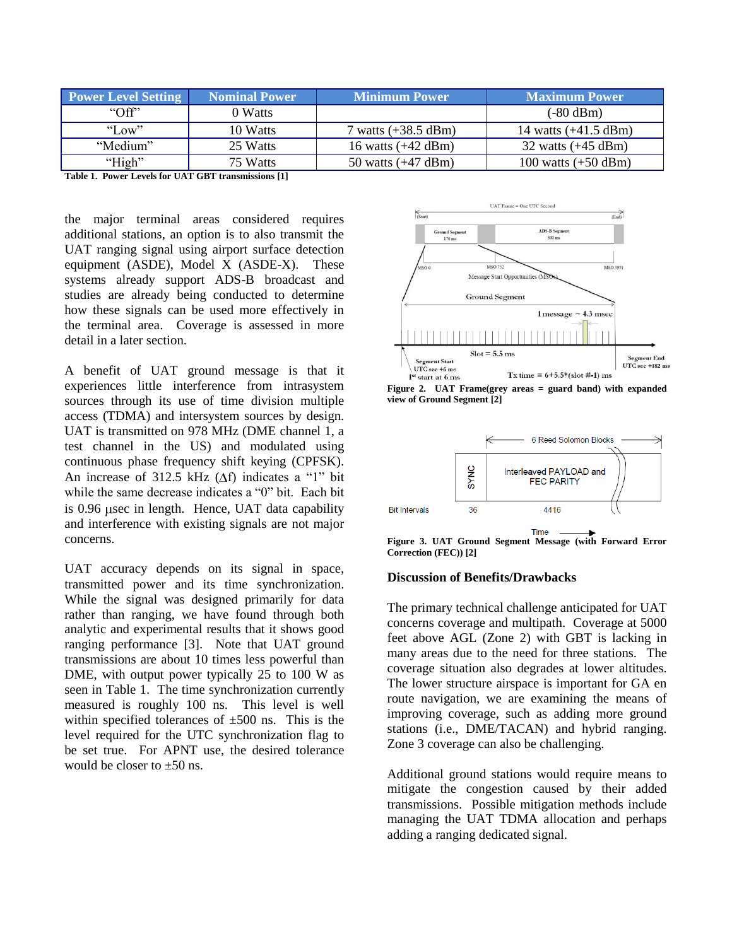| <b>Power Level Setting</b> | <b>Nominal Power</b> | <b>Minimum Power</b>          | <b>Maximum Power</b>           |
|----------------------------|----------------------|-------------------------------|--------------------------------|
| $\Omega$                   | 0 Watts              |                               | $(-80 \text{ dBm})$            |
| "Low"                      | 10 Watts             | 7 watts $(+38.5 \text{ dBm})$ | 14 watts $(+41.5 \text{ dBm})$ |
| "Medium"                   | 25 Watts             | 16 watts $(+42 \text{ dBm})$  | 32 watts $(+45 \text{ dBm})$   |
| "High"                     | 75 Watts             | 50 watts $(+47 \text{ dBm})$  | 100 watts $(+50$ dBm)          |

<span id="page-3-2"></span>**Table 1. Power Levels for UAT GBT transmissions [\[1\]](#page-13-0)**

the major terminal areas considered requires additional stations, an option is to also transmit the UAT ranging signal using airport surface detection equipment (ASDE), Model X (ASDE-X). These systems already support ADS-B broadcast and studies are already being conducted to determine how these signals can be used more effectively in the terminal area. Coverage is assessed in more detail in a later section.

A benefit of UAT ground message is that it experiences little interference from intrasystem sources through its use of time division multiple access (TDMA) and intersystem sources by design. UAT is transmitted on 978 MHz (DME channel 1, a test channel in the US) and modulated using continuous phase frequency shift keying (CPFSK). An increase of 312.5 kHz  $(\Delta f)$  indicates a "1" bit while the same decrease indicates a "0" bit. Each bit is  $0.96$  µsec in length. Hence, UAT data capability and interference with existing signals are not major concerns.

UAT accuracy depends on its signal in space, transmitted power and its time synchronization. While the signal was designed primarily for data rather than ranging, we have found through both analytic and experimental results that it shows good ranging performance [\[3\].](#page-13-1) Note that UAT ground transmissions are about 10 times less powerful than DME, with output power typically 25 to 100 W as seen in [Table 1.](#page-3-2) The time synchronization currently measured is roughly 100 ns. This level is well within specified tolerances of  $\pm 500$  ns. This is the level required for the UTC synchronization flag to be set true. For APNT use, the desired tolerance would be closer to  $+50$  ns.



<span id="page-3-0"></span>**Figure 2. UAT Frame(grey areas = guard band) with expanded view of Ground Segmen[t \[2\]](#page-13-2)**



<span id="page-3-1"></span>Time **Figure 3. UAT Ground Segment Message (with Forward Error Correction (FEC)[\) \[2\]](#page-13-2)**

# **Discussion of Benefits/Drawbacks**

The primary technical challenge anticipated for UAT concerns coverage and multipath. Coverage at 5000 feet above AGL (Zone 2) with GBT is lacking in many areas due to the need for three stations. The coverage situation also degrades at lower altitudes. The lower structure airspace is important for GA en route navigation, we are examining the means of improving coverage, such as adding more ground stations (i.e., DME/TACAN) and hybrid ranging. Zone 3 coverage can also be challenging.

Additional ground stations would require means to mitigate the congestion caused by their added transmissions. Possible mitigation methods include managing the UAT TDMA allocation and perhaps adding a ranging dedicated signal.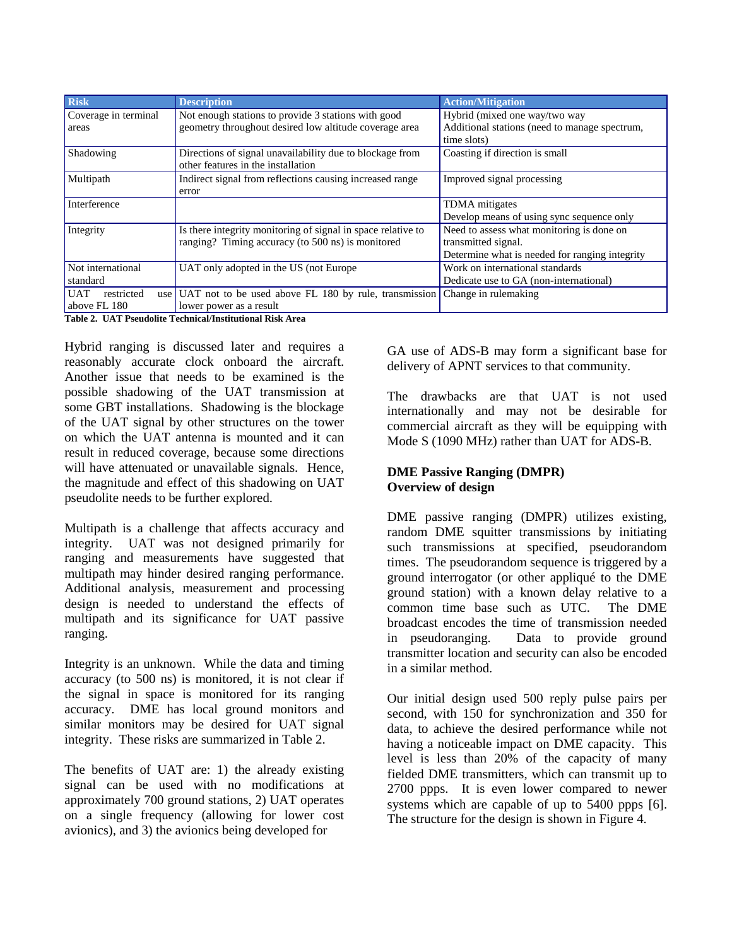| Additional stations (need to manage spectrum,  |
|------------------------------------------------|
|                                                |
|                                                |
|                                                |
| Develop means of using sync sequence only      |
|                                                |
|                                                |
| Determine what is needed for ranging integrity |
|                                                |
|                                                |
|                                                |
|                                                |
| Need to assess what monitoring is done on      |

<span id="page-4-0"></span>**Table 2. UAT Pseudolite Technical/Institutional Risk Area**

Hybrid ranging is discussed later and requires a reasonably accurate clock onboard the aircraft. Another issue that needs to be examined is the possible shadowing of the UAT transmission at some GBT installations. Shadowing is the blockage of the UAT signal by other structures on the tower on which the UAT antenna is mounted and it can result in reduced coverage, because some directions will have attenuated or unavailable signals. Hence, the magnitude and effect of this shadowing on UAT pseudolite needs to be further explored.

Multipath is a challenge that affects accuracy and integrity. UAT was not designed primarily for ranging and measurements have suggested that multipath may hinder desired ranging performance. Additional analysis, measurement and processing design is needed to understand the effects of multipath and its significance for UAT passive ranging.

Integrity is an unknown. While the data and timing accuracy (to 500 ns) is monitored, it is not clear if the signal in space is monitored for its ranging accuracy. DME has local ground monitors and similar monitors may be desired for UAT signal integrity. These risks are summarized in [Table 2.](#page-4-0)

The benefits of UAT are: 1) the already existing signal can be used with no modifications at approximately 700 ground stations, 2) UAT operates on a single frequency (allowing for lower cost avionics), and 3) the avionics being developed for

GA use of ADS-B may form a significant base for delivery of APNT services to that community.

The drawbacks are that UAT is not used internationally and may not be desirable for commercial aircraft as they will be equipping with Mode S (1090 MHz) rather than UAT for ADS-B.

# **DME Passive Ranging (DMPR) Overview of design**

DME passive ranging (DMPR) utilizes existing, random DME squitter transmissions by initiating such transmissions at specified, pseudorandom times. The pseudorandom sequence is triggered by a ground interrogator (or other appliqué to the DME ground station) with a known delay relative to a common time base such as UTC. The DME broadcast encodes the time of transmission needed in pseudoranging. Data to provide ground transmitter location and security can also be encoded in a similar method.

Our initial design used 500 reply pulse pairs per second, with 150 for synchronization and 350 for data, to achieve the desired performance while not having a noticeable impact on DME capacity. This level is less than 20% of the capacity of many fielded DME transmitters, which can transmit up to 2700 ppps. It is even lower compared to newer systems which are capable of up to 5400 ppps [\[6\].](#page-13-3) The structure for the design is shown in [Figure 4.](#page-5-0)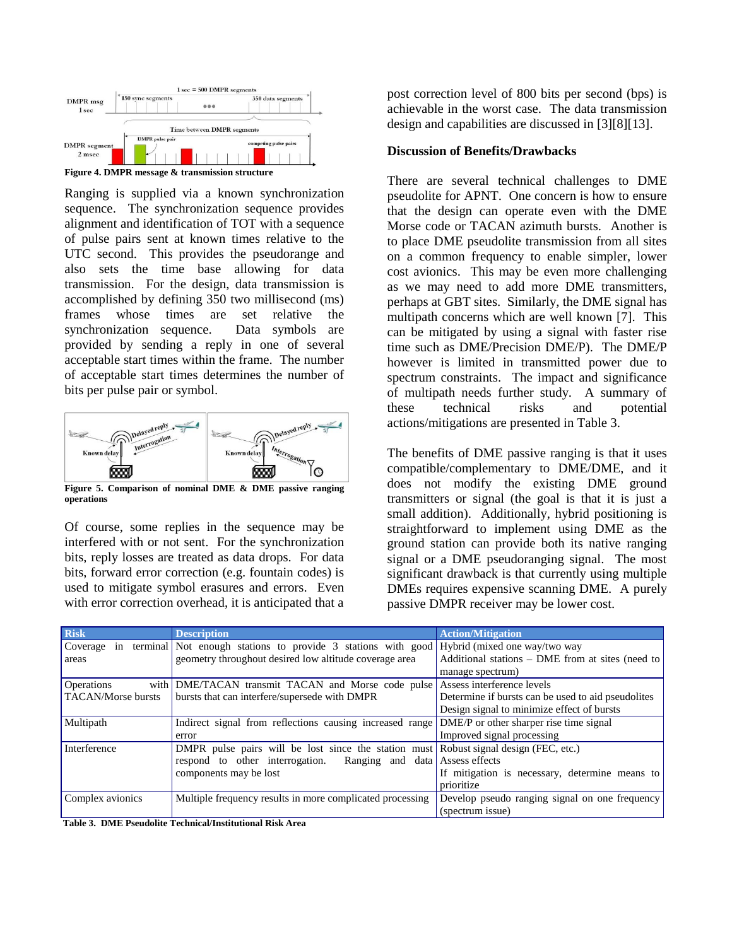

<span id="page-5-0"></span>Ranging is supplied via a known synchronization sequence. The synchronization sequence provides alignment and identification of TOT with a sequence of pulse pairs sent at known times relative to the UTC second. This provides the pseudorange and also sets the time base allowing for data transmission. For the design, data transmission is accomplished by defining 350 two millisecond (ms) frames whose times are set relative the synchronization sequence. Data symbols are provided by sending a reply in one of several acceptable start times within the frame. The number of acceptable start times determines the number of bits per pulse pair or symbol.



**Figure 5. Comparison of nominal DME & DME passive ranging operations**

Of course, some replies in the sequence may be interfered with or not sent. For the synchronization bits, reply losses are treated as data drops. For data bits, forward error correction (e.g. fountain codes) is used to mitigate symbol erasures and errors. Even with error correction overhead, it is anticipated that a post correction level of 800 bits per second (bps) is achievable in the worst case. The data transmission design and capabilities are discussed in [\[3\]\[8\]](#page-13-1)[\[13\].](#page-13-4)

## **Discussion of Benefits/Drawbacks**

There are several technical challenges to DME pseudolite for APNT. One concern is how to ensure that the design can operate even with the DME Morse code or TACAN azimuth bursts.Another is to place DME pseudolite transmission from all sites on a common frequency to enable simpler, lower cost avionics. This may be even more challenging as we may need to add more DME transmitters, perhaps at GBT sites. Similarly, the DME signal has multipath concerns which are well known [\[7\].](#page-13-5) This can be mitigated by using a signal with faster rise time such as DME/Precision DME/P). The DME/P however is limited in transmitted power due to spectrum constraints. The impact and significance of multipath needs further study. A summary of these technical risks and potential actions/mitigations are presented in [Table 3.](#page-5-1)

The benefits of DME passive ranging is that it uses compatible/complementary to DME/DME, and it does not modify the existing DME ground transmitters or signal (the goal is that it is just a small addition). Additionally, hybrid positioning is straightforward to implement using DME as the ground station can provide both its native ranging signal or a DME pseudoranging signal. The most significant drawback is that currently using multiple DMEs requires expensive scanning DME. A purely passive DMPR receiver may be lower cost.

| Risk               | <b>Description</b>                                                            | <b>Action/Mitigation</b>                           |
|--------------------|-------------------------------------------------------------------------------|----------------------------------------------------|
| Coverage in        | terminal Not enough stations to provide 3 stations with good                  | Hybrid (mixed one way/two way                      |
| areas              | geometry throughout desired low altitude coverage area                        | Additional stations – DME from at sites (need to   |
|                    |                                                                               | manage spectrum)                                   |
| <b>Operations</b>  | with DME/TACAN transmit TACAN and Morse code pulse Assess interference levels |                                                    |
| TACAN/Morse bursts | bursts that can interfere/supersede with DMPR                                 | Determine if bursts can be used to aid pseudolites |
|                    |                                                                               | Design signal to minimize effect of bursts         |
| Multipath          | Indirect signal from reflections causing increased range                      | DME/P or other sharper rise time signal            |
|                    | error                                                                         | Improved signal processing                         |
| Interference       | DMPR pulse pairs will be lost since the station must                          | Robust signal design (FEC, etc.)                   |
|                    | Ranging and data Assess effects<br>respond to other interrogation.            |                                                    |
|                    | components may be lost                                                        | If mitigation is necessary, determine means to     |
|                    |                                                                               | prioritize                                         |
| Complex avionics   | Multiple frequency results in more complicated processing                     | Develop pseudo ranging signal on one frequency     |
|                    |                                                                               | (spectrum issue)                                   |

<span id="page-5-1"></span>**Table 3. DME Pseudolite Technical/Institutional Risk Area**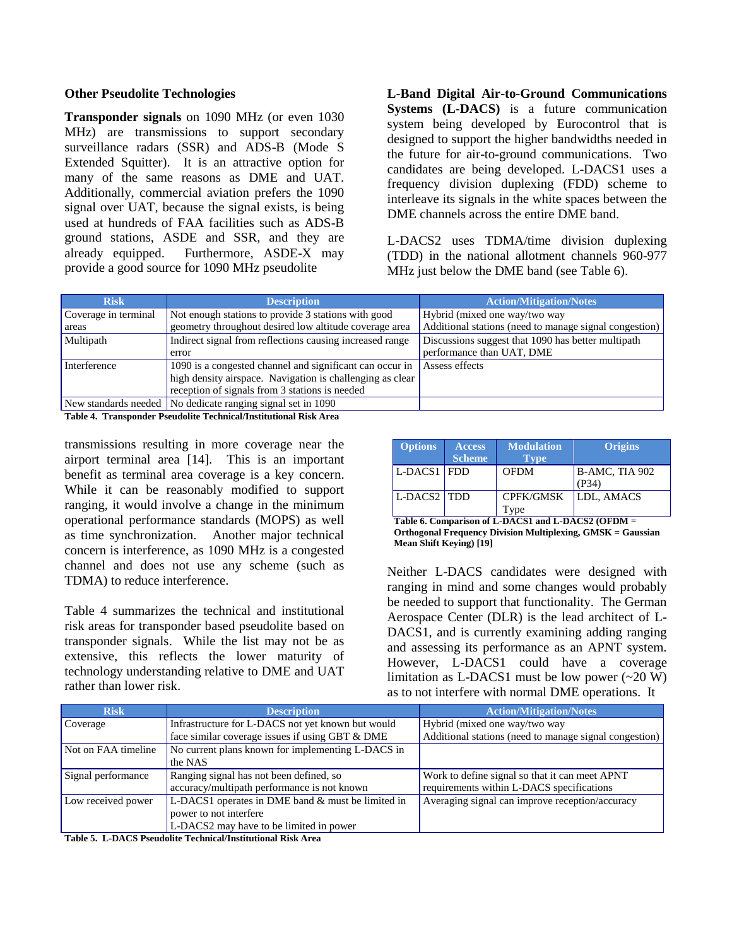#### **Other Pseudolite Technologies**

**Transponder signals** on 1090 MHz (or even 1030 MHz) are transmissions to support secondary surveillance radars (SSR) and ADS-B (Mode S Extended Squitter). It is an attractive option for many of the same reasons as DME and UAT. Additionally, commercial aviation prefers the 1090 signal over UAT, because the signal exists, is being used at hundreds of FAA facilities such as ADS-B ground stations, ASDE and SSR, and they are already equipped. Furthermore, ASDE-X may provide a good source for 1090 MHz pseudolite

**L-Band Digital Air-to-Ground Communications Systems (L-DACS)** is a future communication system being developed by Eurocontrol that is designed to support the higher bandwidths needed in the future for air-to-ground communications. Two candidates are being developed. L-DACS1 uses a frequency division duplexing (FDD) scheme to interleave its signals in the white spaces between the DME channels across the entire DME band.

L-DACS2 uses TDMA/time division duplexing (TDD) in the national allotment channels 960-977 MHz just below the DME band (see [Table 6\)](#page-6-1).

| <b>Risk</b>          | <b>Description</b>                                            | <b>Action/Mitigation/Notes</b>                         |
|----------------------|---------------------------------------------------------------|--------------------------------------------------------|
| Coverage in terminal | Not enough stations to provide 3 stations with good           | Hybrid (mixed one way/two way                          |
| areas                | geometry throughout desired low altitude coverage area        | Additional stations (need to manage signal congestion) |
| Multipath            | Indirect signal from reflections causing increased range      | Discussions suggest that 1090 has better multipath     |
|                      | error                                                         | performance than UAT, DME                              |
| Interference         | 1090 is a congested channel and significant can occur in      | Assess effects                                         |
|                      | high density airspace. Navigation is challenging as clear     |                                                        |
|                      | reception of signals from 3 stations is needed                |                                                        |
|                      | New standards needed   No dedicate ranging signal set in 1090 |                                                        |

<span id="page-6-0"></span>**Table 4. Transponder Pseudolite Technical/Institutional Risk Area**

transmissions resulting in more coverage near the airport terminal area [\[14\].](#page-13-6) This is an important benefit as terminal area coverage is a key concern. While it can be reasonably modified to support ranging, it would involve a change in the minimum operational performance standards (MOPS) as well as time synchronization. Another major technical concern is interference, as 1090 MHz is a congested channel and does not use any scheme (such as TDMA) to reduce interference.

[Table 4](#page-6-0) summarizes the technical and institutional risk areas for transponder based pseudolite based on transponder signals. While the list may not be as extensive, this reflects the lower maturity of technology understanding relative to DME and UAT rather than lower risk.

| <b>Options</b> | <b>Access</b><br><b>Scheme</b> | <b>Modulation</b><br><b>Type</b> | <b>Origins</b>          |
|----------------|--------------------------------|----------------------------------|-------------------------|
| $L$ -DACS1 FDD |                                | <b>OFDM</b>                      | B-AMC, TIA 902<br>(P34) |
| L-DACS2 TDD    |                                | <b>CPFK/GMSK</b><br>vpe          | <b>LDL, AMACS</b>       |

<span id="page-6-1"></span>**Table 6. Comparison of L-DACS1 and L-DACS2 (OFDM = Orthogonal Frequency Division Multiplexing, GMSK = Gaussian Mean Shift Keying[\) \[19\]](#page-14-1)**

Neither L-DACS candidates were designed with ranging in mind and some changes would probably be needed to support that functionality. The German Aerospace Center (DLR) is the lead architect of L-DACS1, and is currently examining adding ranging and assessing its performance as an APNT system. However, L-DACS1 could have a coverage limitation as L-DACS1 must be low power  $(\sim 20 \text{ W})$ as to not interfere with normal DME operations. It

| <b>Risk</b>         | <b>Description</b>                                | <b>Action/Mitigation/Notes</b>                         |
|---------------------|---------------------------------------------------|--------------------------------------------------------|
| Coverage            | Infrastructure for L-DACS not yet known but would | Hybrid (mixed one way/two way                          |
|                     | face similar coverage issues if using GBT & DME   | Additional stations (need to manage signal congestion) |
| Not on FAA timeline | No current plans known for implementing L-DACS in |                                                        |
|                     | the NAS                                           |                                                        |
| Signal performance  | Ranging signal has not been defined, so           | Work to define signal so that it can meet APNT         |
|                     | accuracy/multipath performance is not known       | requirements within L-DACS specifications              |
| Low received power  | L-DACS1 operates in DME band & must be limited in | Averaging signal can improve reception/accuracy        |
|                     | power to not interfere                            |                                                        |
|                     | L-DACS2 may have to be limited in power           |                                                        |

<span id="page-6-2"></span>**Table 5. L-DACS Pseudolite Technical/Institutional Risk Area**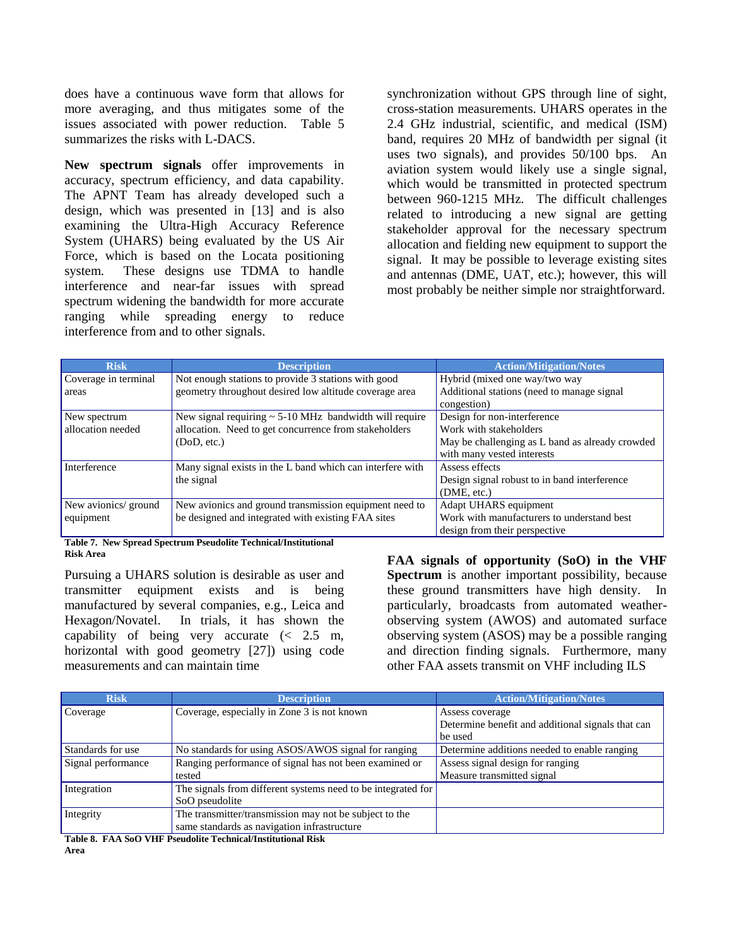does have a continuous wave form that allows for more averaging, and thus mitigates some of the issues associated with power reduction. [Table 5](#page-6-2) summarizes the risks with L-DACS.

**New spectrum signals** offer improvements in accuracy, spectrum efficiency, and data capability. The APNT Team has already developed such a design, which was presented in [\[13\]](#page-13-4) and is also examining the Ultra-High Accuracy Reference System (UHARS) being evaluated by the US Air Force, which is based on the Locata positioning system. These designs use TDMA to handle interference and near-far issues with spread spectrum widening the bandwidth for more accurate ranging while spreading energy to reduce interference from and to other signals.

synchronization without GPS through line of sight, cross-station measurements. UHARS operates in the 2.4 GHz industrial, scientific, and medical (ISM) band, requires 20 MHz of bandwidth per signal (it uses two signals), and provides 50/100 bps. An aviation system would likely use a single signal, which would be transmitted in protected spectrum between 960-1215 MHz. The difficult challenges related to introducing a new signal are getting stakeholder approval for the necessary spectrum allocation and fielding new equipment to support the signal. It may be possible to leverage existing sites and antennas (DME, UAT, etc.); however, this will most probably be neither simple nor straightforward.

| <b>Risk</b>          | <b>Description</b>                                          | <b>Action/Mitigation/Notes</b>                  |
|----------------------|-------------------------------------------------------------|-------------------------------------------------|
| Coverage in terminal | Not enough stations to provide 3 stations with good         | Hybrid (mixed one way/two way                   |
| areas                | geometry throughout desired low altitude coverage area      | Additional stations (need to manage signal      |
|                      |                                                             | congestion)                                     |
| New spectrum         | New signal requiring $\sim$ 5-10 MHz bandwidth will require | Design for non-interference                     |
| allocation needed    | allocation. Need to get concurrence from stakeholders       | Work with stakeholders                          |
|                      | (DoD, etc.)                                                 | May be challenging as L band as already crowded |
|                      |                                                             | with many vested interests                      |
| Interference         | Many signal exists in the L band which can interfere with   | Assess effects                                  |
|                      | the signal                                                  | Design signal robust to in band interference    |
|                      |                                                             | (DME, etc.)                                     |
| New avionics/ ground | New avionics and ground transmission equipment need to      | Adapt UHARS equipment                           |
| equipment            | be designed and integrated with existing FAA sites          | Work with manufacturers to understand best      |
|                      |                                                             | design from their perspective                   |

**Table 7. New Spread Spectrum Pseudolite Technical/Institutional Risk Area**

Pursuing a UHARS solution is desirable as user and transmitter equipment exists and is being manufactured by several companies, e.g., Leica and Hexagon/Novatel. In trials, it has shown the capability of being very accurate (< 2.5 m, horizontal with good geometry [\[27\]\)](#page-14-2) using code measurements and can maintain time

**FAA signals of opportunity (SoO) in the VHF Spectrum** is another important possibility, because these ground transmitters have high density. In particularly, broadcasts from automated weatherobserving system (AWOS) and automated surface observing system (ASOS) may be a possible ranging and direction finding signals. Furthermore, many other FAA assets transmit on VHF including ILS

| <b>Risk</b>        | <b>Description</b>                                           | <b>Action/Mitigation/Notes</b>                    |
|--------------------|--------------------------------------------------------------|---------------------------------------------------|
| Coverage           | Coverage, especially in Zone 3 is not known                  | Assess coverage                                   |
|                    |                                                              | Determine benefit and additional signals that can |
|                    |                                                              | be used                                           |
| Standards for use  | No standards for using ASOS/AWOS signal for ranging          | Determine additions needed to enable ranging      |
| Signal performance | Ranging performance of signal has not been examined or       | Assess signal design for ranging                  |
|                    | tested                                                       | Measure transmitted signal                        |
| Integration        | The signals from different systems need to be integrated for |                                                   |
|                    | SoO pseudolite                                               |                                                   |
| Integrity          | The transmitter/transmission may not be subject to the       |                                                   |
|                    | same standards as navigation infrastructure                  |                                                   |

<span id="page-7-0"></span>**Table 8. FAA SoO VHF Pseudolite Technical/Institutional Risk Area**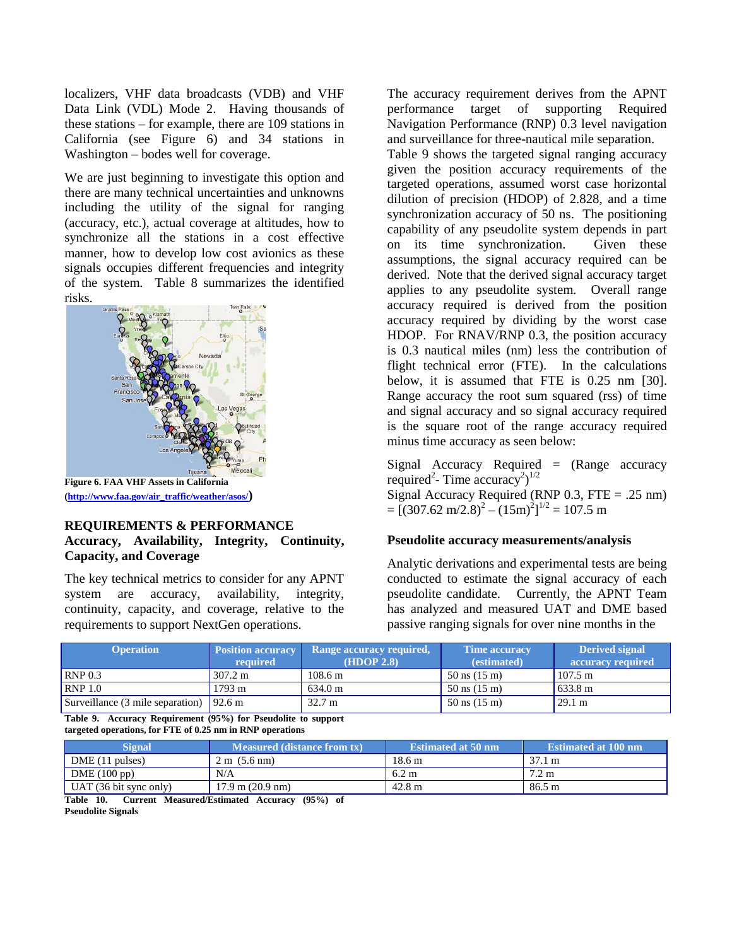localizers, VHF data broadcasts (VDB) and VHF Data Link (VDL) Mode 2. Having thousands of these stations – for example, there are 109 stations in California (see [Figure 6\)](#page-8-0) and 34 stations in Washington – bodes well for coverage.

We are just beginning to investigate this option and there are many technical uncertainties and unknowns including the utility of the signal for ranging (accuracy, etc.), actual coverage at altitudes, how to synchronize all the stations in a cost effective manner, how to develop low cost avionics as these signals occupies different frequencies and integrity of the system. [Table 8](#page-7-0) summarizes the identified risks.



**[\(http://www.faa.gov/air\\_traffic/weather/asos/](http://www.faa.gov/air_traffic/weather/asos/))**

# <span id="page-8-0"></span>**REQUIREMENTS & PERFORMANCE Accuracy, Availability, Integrity, Continuity, Capacity, and Coverage**

The key technical metrics to consider for any APNT system are accuracy, availability, integrity, continuity, capacity, and coverage, relative to the requirements to support NextGen operations.

The accuracy requirement derives from the APNT performance target of supporting Required Navigation Performance (RNP) 0.3 level navigation and surveillance for three-nautical mile separation.

[Table 9](#page-8-1) shows the targeted signal ranging accuracy given the position accuracy requirements of the targeted operations, assumed worst case horizontal dilution of precision (HDOP) of 2.828, and a time synchronization accuracy of 50 ns. The positioning capability of any pseudolite system depends in part on its time synchronization. Given these assumptions, the signal accuracy required can be derived. Note that the derived signal accuracy target applies to any pseudolite system. Overall range accuracy required is derived from the position accuracy required by dividing by the worst case HDOP. For RNAV/RNP 0.3, the position accuracy is 0.3 nautical miles (nm) less the contribution of flight technical error (FTE). In the calculations below, it is assumed that FTE is 0.25 nm [\[30\].](#page-14-3) Range accuracy the root sum squared (rss) of time and signal accuracy and so signal accuracy required is the square root of the range accuracy required minus time accuracy as seen below:

Signal Accuracy Required  $=$  (Range accuracy required<sup>2</sup>- Time accuracy<sup>2</sup>)<sup>1/2</sup>

Signal Accuracy Required (RNP  $0.3$ , FTE = .25 nm)  $=[(307.62 \text{ m}/2.8)^2 - (15 \text{m})^2]^{1/2} = 107.5 \text{ m}$ 

## **Pseudolite accuracy measurements/analysis**

Analytic derivations and experimental tests are being conducted to estimate the signal accuracy of each pseudolite candidate. Currently, the APNT Team has analyzed and measured UAT and DME based passive ranging signals for over nine months in the

| <b>Operation</b>                 | <b>Position accuracy</b><br>required | Range accuracy required,<br>(HDOP 2.8) | <b>Time accuracy</b><br>(estimated) | <b>Derived signal</b><br>accuracy required |
|----------------------------------|--------------------------------------|----------------------------------------|-------------------------------------|--------------------------------------------|
| RNP 0.3                          | $307.2 \text{ m}$                    | $108.6 \text{ m}$                      | $50 \text{ ns} (15 \text{ m})$      | $107.5 \text{ m}$                          |
| RNP 1.0                          | $1793 \text{ m}$                     | $634.0 \text{ m}$                      | $50 \text{ ns} (15 \text{ m})$      | 633.8 m                                    |
| Surveillance (3 mile separation) | 92.6 m                               | $32.7 \text{ m}$                       | $50 \text{ ns} (15 \text{ m})$      | 29.1 m                                     |

<span id="page-8-1"></span>**Table 9. Accuracy Requirement (95%) for Pseudolite to support targeted operations, for FTE of 0.25 nm in RNP operations**

| <b>Signal</b>          | <b>Measured (distance from tx)</b> | <b>Estimated at 50 nm</b> | <b>Estimated at 100 nm</b> |
|------------------------|------------------------------------|---------------------------|----------------------------|
| DME (11 pulses)        | $2 \text{ m}$ (5.6 nm)             | 18.6 m                    | $37.1 \text{ m}$           |
| DME(100 pp)            | N/A                                | $6.2 \text{ m}$           | $7.2 \text{ m}$            |
| UAT (36 bit sync only) | $17.9 \text{ m}$ (20.9 nm)         | $42.8 \text{ m}$          | 86.5 m                     |
| _________<br>----      | $\sim$ $\sim$ $\sim$ $\sim$        |                           |                            |

<span id="page-8-2"></span>**Table 10. Current Measured/Estimated Accuracy (95%) of Pseudolite Signals**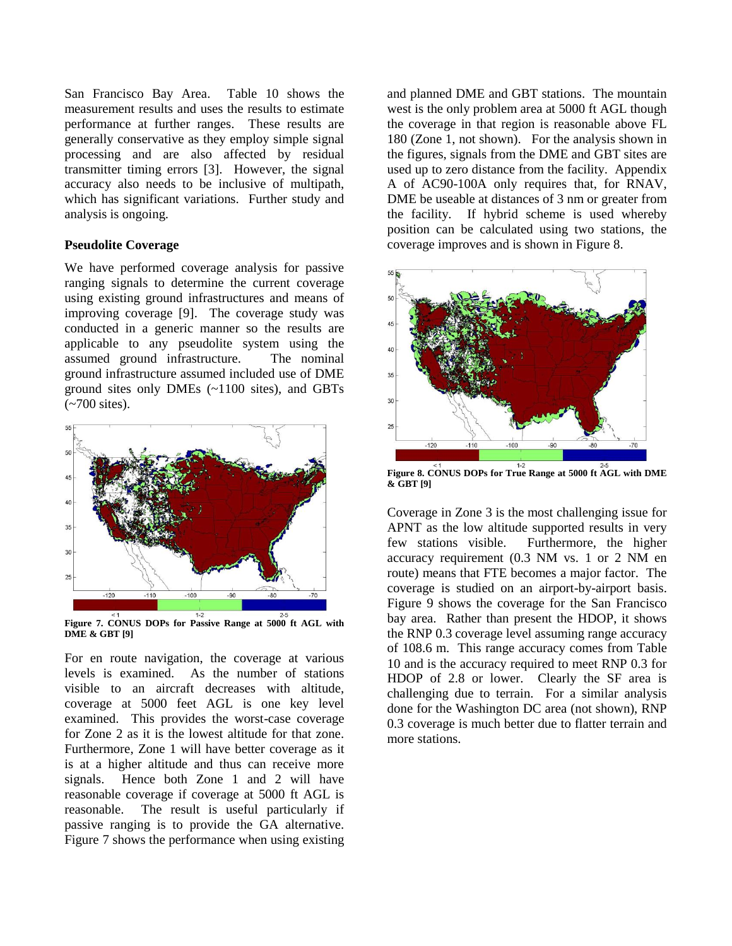San Francisco Bay Area. [Table 10](#page-8-2) shows the measurement results and uses the results to estimate performance at further ranges. These results are generally conservative as they employ simple signal processing and are also affected by residual transmitter timing errors [\[3\].](#page-13-1) However, the signal accuracy also needs to be inclusive of multipath, which has significant variations. Further study and analysis is ongoing.

## **Pseudolite Coverage**

We have performed coverage analysis for passive ranging signals to determine the current coverage using existing ground infrastructures and means of improving coverage [\[9\].](#page-13-7) The coverage study was conducted in a generic manner so the results are applicable to any pseudolite system using the assumed ground infrastructure. The nominal ground infrastructure assumed included use of DME ground sites only DMEs (~1100 sites), and GBTs (~700 sites).



**Figure 7. CONUS DOPs for Passive Range at 5000 ft AGL with DME & GB[T \[9\]](#page-13-7)**

For en route navigation, the coverage at various levels is examined. As the number of stations visible to an aircraft decreases with altitude, coverage at 5000 feet AGL is one key level examined. This provides the worst-case coverage for Zone 2 as it is the lowest altitude for that zone. Furthermore, Zone 1 will have better coverage as it is at a higher altitude and thus can receive more signals. Hence both Zone 1 and 2 will have reasonable coverage if coverage at 5000 ft AGL is reasonable. The result is useful particularly if passive ranging is to provide the GA alternative. [Figure 7](#page-9-0) shows the performance when using existing and planned DME and GBT stations. The mountain west is the only problem area at 5000 ft AGL though the coverage in that region is reasonable above FL 180 (Zone 1, not shown). For the analysis shown in the figures, signals from the DME and GBT sites are used up to zero distance from the facility. Appendix A of AC90-100A only requires that, for RNAV, DME be useable at distances of 3 nm or greater from the facility. If hybrid scheme is used whereby position can be calculated using two stations, the coverage improves and is shown i[n Figure 8.](#page-9-1)



<span id="page-9-1"></span><span id="page-9-0"></span>**Figure 8. CONUS DOPs for True Range at 5000 ft AGL with DME & GB[T \[9\]](#page-13-7)**

Coverage in Zone 3 is the most challenging issue for APNT as the low altitude supported results in very few stations visible. Furthermore, the higher accuracy requirement (0.3 NM vs. 1 or 2 NM en route) means that FTE becomes a major factor. The coverage is studied on an airport-by-airport basis. [Figure 9](#page-10-0) shows the coverage for the San Francisco bay area. Rather than present the HDOP, it shows the RNP 0.3 coverage level assuming range accuracy of 108.6 m. This range accuracy comes from [Table](#page-8-2)  [10](#page-8-2) and is the accuracy required to meet RNP 0.3 for HDOP of 2.8 or lower. Clearly the SF area is challenging due to terrain. For a similar analysis done for the Washington DC area (not shown), RNP 0.3 coverage is much better due to flatter terrain and more stations.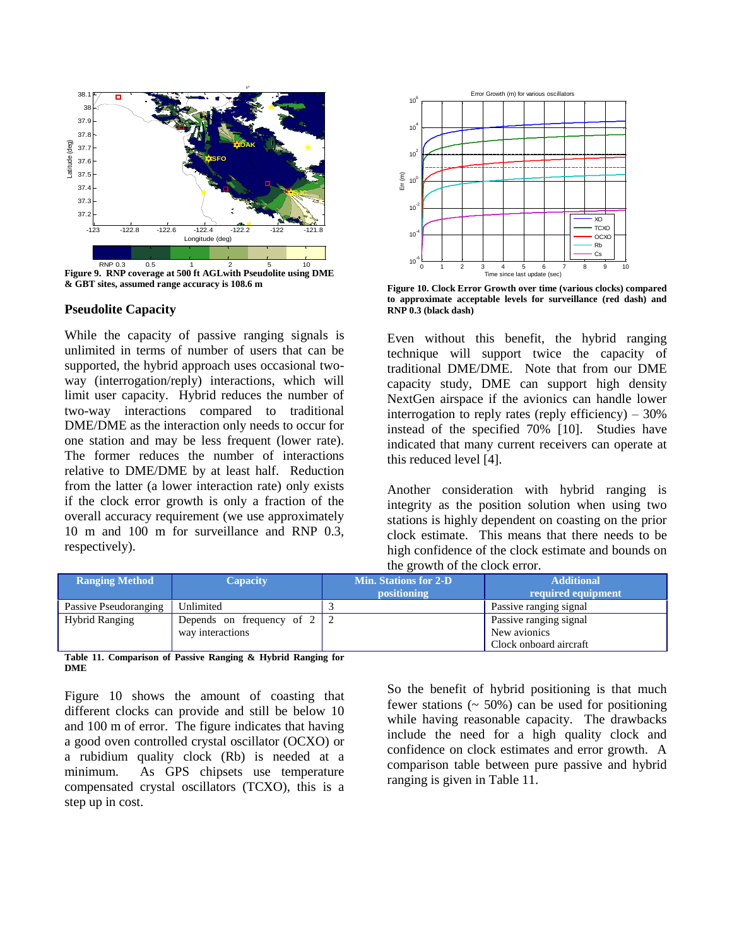

<span id="page-10-0"></span>**& GBT sites, assumed range accuracy is 108.6 m**

#### **Pseudolite Capacity**

While the capacity of passive ranging signals is unlimited in terms of number of users that can be supported, the hybrid approach uses occasional twoway (interrogation/reply) interactions, which will limit user capacity. Hybrid reduces the number of two-way interactions compared to traditional DME/DME as the interaction only needs to occur for one station and may be less frequent (lower rate). The former reduces the number of interactions relative to DME/DME by at least half. Reduction from the latter (a lower interaction rate) only exists if the clock error growth is only a fraction of the overall accuracy requirement (we use approximately 10 m and 100 m for surveillance and RNP 0.3, respectively).



<span id="page-10-1"></span>**Figure 10. Clock Error Growth over time (various clocks) compared to approximate acceptable levels for surveillance (red dash) and RNP 0.3 (black dash)**

Even without this benefit, the hybrid ranging technique will support twice the capacity of traditional DME/DME. Note that from our DME capacity study, DME can support high density NextGen airspace if the avionics can handle lower interrogation to reply rates (reply efficiency)  $-30\%$ instead of the specified 70% [\[10\].](#page-13-8) Studies have indicated that many current receivers can operate at this reduced level [\[4\].](#page-13-9)

Another consideration with hybrid ranging is integrity as the position solution when using two stations is highly dependent on coasting on the prior clock estimate. This means that there needs to be high confidence of the clock estimate and bounds on the growth of the clock error.

| <b>Ranging Method</b> | <b>Capacity</b>                                        | <b>Min. Stations for 2-D</b><br>positioning | <b>Additional</b><br>required equipment |
|-----------------------|--------------------------------------------------------|---------------------------------------------|-----------------------------------------|
| Passive Pseudoranging | Unlimited                                              |                                             | Passive ranging signal                  |
| <b>Hybrid Ranging</b> | Depends on frequency of $2 \mid 2$<br>way interactions |                                             | Passive ranging signal<br>New avionics  |
|                       |                                                        |                                             | Clock onboard aircraft                  |

<span id="page-10-2"></span>**Table 11. Comparison of Passive Ranging & Hybrid Ranging for DME**

[Figure 10](#page-10-1) shows the amount of coasting that different clocks can provide and still be below 10 and 100 m of error. The figure indicates that having a good oven controlled crystal oscillator (OCXO) or a rubidium quality clock (Rb) is needed at a minimum. As GPS chipsets use temperature compensated crystal oscillators (TCXO), this is a step up in cost.

So the benefit of hybrid positioning is that much fewer stations  $($   $\sim$  50%) can be used for positioning while having reasonable capacity. The drawbacks include the need for a high quality clock and confidence on clock estimates and error growth. A comparison table between pure passive and hybrid ranging is given in [Table 11.](#page-10-2)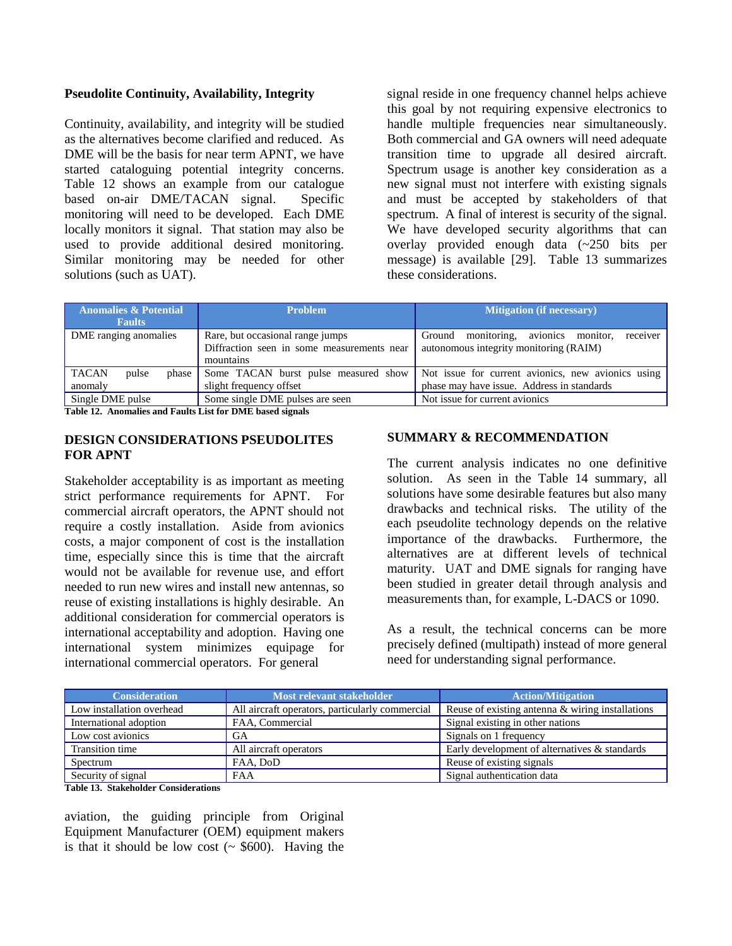## **Pseudolite Continuity, Availability, Integrity**

Continuity, availability, and integrity will be studied as the alternatives become clarified and reduced. As DME will be the basis for near term APNT, we have started cataloguing potential integrity concerns. [Table 12](#page-11-0) shows an example from our catalogue based on-air DME/TACAN signal. Specific monitoring will need to be developed. Each DME locally monitors it signal. That station may also be used to provide additional desired monitoring. Similar monitoring may be needed for other solutions (such as UAT).

signal reside in one frequency channel helps achieve this goal by not requiring expensive electronics to handle multiple frequencies near simultaneously. Both commercial and GA owners will need adequate transition time to upgrade all desired aircraft. Spectrum usage is another key consideration as a new signal must not interfere with existing signals and must be accepted by stakeholders of that spectrum. A final of interest is security of the signal. We have developed security algorithms that can overlay provided enough data (~250 bits per message) is available [\[29\].](#page-14-4) [Table 13](#page-11-1) summarizes these considerations.

| <b>Anomalies &amp; Potential</b><br><b>Problem</b><br><b>Faults</b>                                                  |                                                                 | <b>Mitigation (if necessary)</b>                                                                 |
|----------------------------------------------------------------------------------------------------------------------|-----------------------------------------------------------------|--------------------------------------------------------------------------------------------------|
| DME ranging anomalies<br>Rare, but occasional range jumps<br>Diffraction seen in some measurements near<br>mountains |                                                                 | receiver<br>monitoring, avionics monitor,<br>Ground<br>autonomous integrity monitoring (RAIM)    |
| <b>TACAN</b><br>pulse<br>phase<br>anomaly                                                                            | Some TACAN burst pulse measured show<br>slight frequency offset | Not issue for current avionics, new avionics using<br>phase may have issue. Address in standards |
| Single DME pulse<br>Some single DME pulses are seen                                                                  |                                                                 | Not issue for current avionics                                                                   |

<span id="page-11-0"></span>**Table 12. Anomalies and Faults List for DME based signals**

# **DESIGN CONSIDERATIONS PSEUDOLITES FOR APNT**

Stakeholder acceptability is as important as meeting strict performance requirements for APNT. For commercial aircraft operators, the APNT should not require a costly installation. Aside from avionics costs, a major component of cost is the installation time, especially since this is time that the aircraft would not be available for revenue use, and effort needed to run new wires and install new antennas, so reuse of existing installations is highly desirable. An additional consideration for commercial operators is international acceptability and adoption. Having one international system minimizes equipage for international commercial operators. For general

## **SUMMARY & RECOMMENDATION**

The current analysis indicates no one definitive solution. As seen in the [Table 14](#page-12-0) summary, all solutions have some desirable features but also many drawbacks and technical risks. The utility of the each pseudolite technology depends on the relative importance of the drawbacks. Furthermore, the alternatives are at different levels of technical maturity. UAT and DME signals for ranging have been studied in greater detail through analysis and measurements than, for example, L-DACS or 1090.

As a result, the technical concerns can be more precisely defined (multipath) instead of more general need for understanding signal performance.

| <b>Consideration</b>                                    | Most relevant stakeholder                       | <b>Action/Mitigation</b>                         |  |
|---------------------------------------------------------|-------------------------------------------------|--------------------------------------------------|--|
| Low installation overhead                               | All aircraft operators, particularly commercial | Reuse of existing antenna & wiring installations |  |
| International adoption                                  | FAA, Commercial                                 | Signal existing in other nations                 |  |
| Low cost avionics                                       | GА                                              | Signals on 1 frequency                           |  |
| Transition time                                         | All aircraft operators                          | Early development of alternatives & standards    |  |
| Spectrum                                                | FAA, DoD                                        | Reuse of existing signals                        |  |
| Security of signal<br>Signal authentication data<br>FAA |                                                 |                                                  |  |

<span id="page-11-1"></span>**Table 13. Stakeholder Considerations**

aviation, the guiding principle from Original Equipment Manufacturer (OEM) equipment makers is that it should be low cost  $( \sim $600)$ . Having the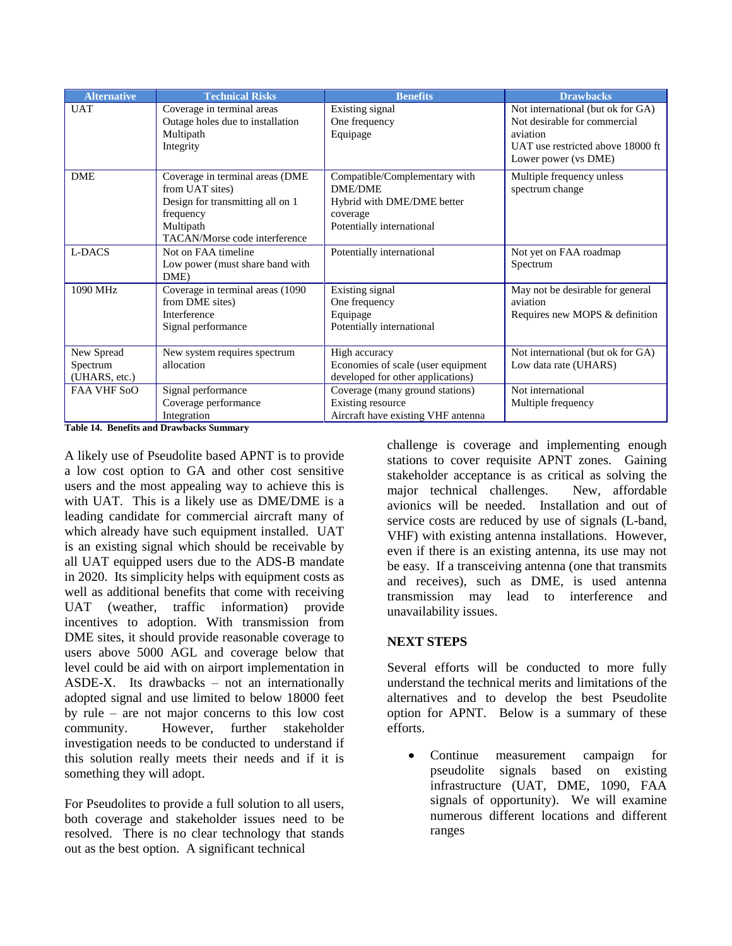| <b>Alternative</b> | <b>Technical Risks</b>            | <b>Benefits</b>                    | <b>Drawbacks</b>                  |
|--------------------|-----------------------------------|------------------------------------|-----------------------------------|
| <b>UAT</b>         | Coverage in terminal areas        | Existing signal                    | Not international (but ok for GA) |
|                    | Outage holes due to installation  | One frequency                      | Not desirable for commercial      |
|                    | Multipath                         | Equipage                           | aviation                          |
|                    | Integrity                         |                                    | UAT use restricted above 18000 ft |
|                    |                                   |                                    | Lower power (vs DME)              |
| <b>DME</b>         | Coverage in terminal areas (DME   | Compatible/Complementary with      | Multiple frequency unless         |
|                    | from UAT sites)                   | <b>DME/DME</b>                     | spectrum change                   |
|                    | Design for transmitting all on 1  | Hybrid with DME/DME better         |                                   |
|                    | frequency                         | coverage                           |                                   |
|                    | Multipath                         | Potentially international          |                                   |
|                    | TACAN/Morse code interference     |                                    |                                   |
| L-DACS             | Not on FAA timeline               | Potentially international          | Not yet on FAA roadmap            |
|                    | Low power (must share band with   |                                    | Spectrum                          |
|                    | DME)                              |                                    |                                   |
| 1090 MHz           | Coverage in terminal areas (1090) | Existing signal                    | May not be desirable for general  |
|                    | from DME sites)                   | One frequency                      | aviation                          |
|                    | Interference                      | Equipage                           | Requires new MOPS & definition    |
|                    | Signal performance                | Potentially international          |                                   |
|                    |                                   |                                    |                                   |
| New Spread         | New system requires spectrum      | High accuracy                      | Not international (but ok for GA) |
| Spectrum           | allocation                        | Economies of scale (user equipment | Low data rate (UHARS)             |
| (UHARS, etc.)      |                                   | developed for other applications)  |                                   |
| <b>FAA VHF SoO</b> | Signal performance                | Coverage (many ground stations)    | Not international                 |
|                    | Coverage performance              | Existing resource                  | Multiple frequency                |
|                    | Integration                       | Aircraft have existing VHF antenna |                                   |

<span id="page-12-0"></span>**Table 14. Benefits and Drawbacks Summary**

A likely use of Pseudolite based APNT is to provide a low cost option to GA and other cost sensitive users and the most appealing way to achieve this is with UAT. This is a likely use as DME/DME is a leading candidate for commercial aircraft many of which already have such equipment installed. UAT is an existing signal which should be receivable by all UAT equipped users due to the ADS-B mandate in 2020. Its simplicity helps with equipment costs as well as additional benefits that come with receiving UAT (weather, traffic information) provide incentives to adoption. With transmission from DME sites, it should provide reasonable coverage to users above 5000 AGL and coverage below that level could be aid with on airport implementation in ASDE-X. Its drawbacks – not an internationally adopted signal and use limited to below 18000 feet by rule – are not major concerns to this low cost community. However, further stakeholder investigation needs to be conducted to understand if this solution really meets their needs and if it is something they will adopt.

For Pseudolites to provide a full solution to all users, both coverage and stakeholder issues need to be resolved. There is no clear technology that stands out as the best option. A significant technical

challenge is coverage and implementing enough stations to cover requisite APNT zones. Gaining stakeholder acceptance is as critical as solving the major technical challenges. New, affordable avionics will be needed. Installation and out of service costs are reduced by use of signals (L-band, VHF) with existing antenna installations. However, even if there is an existing antenna, its use may not be easy. If a transceiving antenna (one that transmits and receives), such as DME, is used antenna transmission may lead to interference and unavailability issues.

## **NEXT STEPS**

Several efforts will be conducted to more fully understand the technical merits and limitations of the alternatives and to develop the best Pseudolite option for APNT. Below is a summary of these efforts.

Continue measurement campaign for  $\bullet$ pseudolite signals based on existing infrastructure (UAT, DME, 1090, FAA signals of opportunity). We will examine numerous different locations and different ranges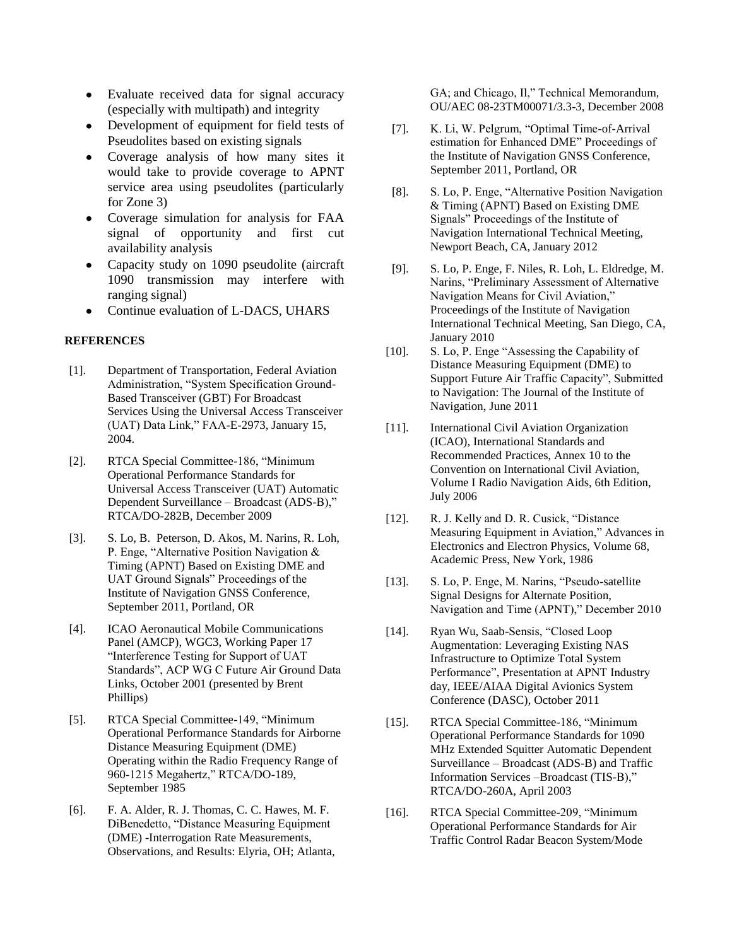- Evaluate received data for signal accuracy  $\bullet$ (especially with multipath) and integrity
- Development of equipment for field tests of Pseudolites based on existing signals
- Coverage analysis of how many sites it would take to provide coverage to APNT service area using pseudolites (particularly for Zone 3)
- Coverage simulation for analysis for FAA  $\bullet$ signal of opportunity and first cut availability analysis
- Capacity study on 1090 pseudolite (aircraft 1090 transmission may interfere with ranging signal)
- Continue evaluation of L-DACS, UHARS

#### **REFERENCES**

- <span id="page-13-0"></span>[1]. Department of Transportation, Federal Aviation Administration, "System Specification Ground-Based Transceiver (GBT) For Broadcast Services Using the Universal Access Transceiver (UAT) Data Link," FAA-E-2973, January 15, 2004.
- <span id="page-13-2"></span>[2]. RTCA Special Committee-186, "Minimum Operational Performance Standards for Universal Access Transceiver (UAT) Automatic Dependent Surveillance – Broadcast (ADS-B)," RTCA/DO-282B, December 2009
- <span id="page-13-1"></span>[3]. S. Lo, B. Peterson, D. Akos, M. Narins, R. Loh, P. Enge, "Alternative Position Navigation & Timing (APNT) Based on Existing DME and UAT Ground Signals" Proceedings of the Institute of Navigation GNSS Conference, September 2011, Portland, OR
- <span id="page-13-9"></span>[4]. ICAO Aeronautical Mobile Communications Panel (AMCP), WGC3, Working Paper 17 "Interference Testing for Support of UAT Standards", ACP WG C Future Air Ground Data Links, October 2001 (presented by Brent Phillips)
- [5]. RTCA Special Committee-149, "Minimum Operational Performance Standards for Airborne Distance Measuring Equipment (DME) Operating within the Radio Frequency Range of 960-1215 Megahertz," RTCA/DO-189, September 1985
- <span id="page-13-3"></span>[6]. F. A. Alder, R. J. Thomas, C. C. Hawes, M. F. DiBenedetto, "Distance Measuring Equipment (DME) -Interrogation Rate Measurements, Observations, and Results: Elyria, OH; Atlanta,

GA; and Chicago, Il," Technical Memorandum, OU/AEC 08-23TM00071/3.3-3, December 2008

- <span id="page-13-5"></span>[7]. K. Li, W. Pelgrum, "Optimal Time-of-Arrival estimation for Enhanced DME" Proceedings of the Institute of Navigation GNSS Conference, September 2011, Portland, OR
- [8]. S. Lo, P. Enge, "Alternative Position Navigation & Timing (APNT) Based on Existing DME Signals" Proceedings of the Institute of Navigation International Technical Meeting, Newport Beach, CA, January 2012
- <span id="page-13-7"></span>[9]. S. Lo, P. Enge, F. Niles, R. Loh, L. Eldredge, M. Narins, "Preliminary Assessment of Alternative Navigation Means for Civil Aviation," Proceedings of the Institute of Navigation International Technical Meeting, San Diego, CA, January 2010
- <span id="page-13-8"></span>[10]. S. Lo, P. Enge "Assessing the Capability of Distance Measuring Equipment (DME) to Support Future Air Traffic Capacity", Submitted to Navigation: The Journal of the Institute of Navigation, June 2011
- [11]. International Civil Aviation Organization (ICAO), International Standards and Recommended Practices, Annex 10 to the Convention on International Civil Aviation, Volume I Radio Navigation Aids, 6th Edition, July 2006
- [12]. R. J. Kelly and D. R. Cusick, "Distance Measuring Equipment in Aviation," Advances in Electronics and Electron Physics, Volume 68, Academic Press, New York, 1986
- <span id="page-13-4"></span>[13]. S. Lo, P. Enge, M. Narins, "Pseudo-satellite Signal Designs for Alternate Position, Navigation and Time (APNT)," December 2010
- <span id="page-13-6"></span>[14]. Ryan Wu, Saab-Sensis, "Closed Loop Augmentation: Leveraging Existing NAS Infrastructure to Optimize Total System Performance", Presentation at APNT Industry day, IEEE/AIAA Digital Avionics System Conference (DASC), October 2011
- [15]. RTCA Special Committee-186, "Minimum Operational Performance Standards for 1090 MHz Extended Squitter Automatic Dependent Surveillance – Broadcast (ADS-B) and Traffic Information Services –Broadcast (TIS-B)," RTCA/DO-260A, April 2003
- [16]. RTCA Special Committee-209, "Minimum Operational Performance Standards for Air Traffic Control Radar Beacon System/Mode